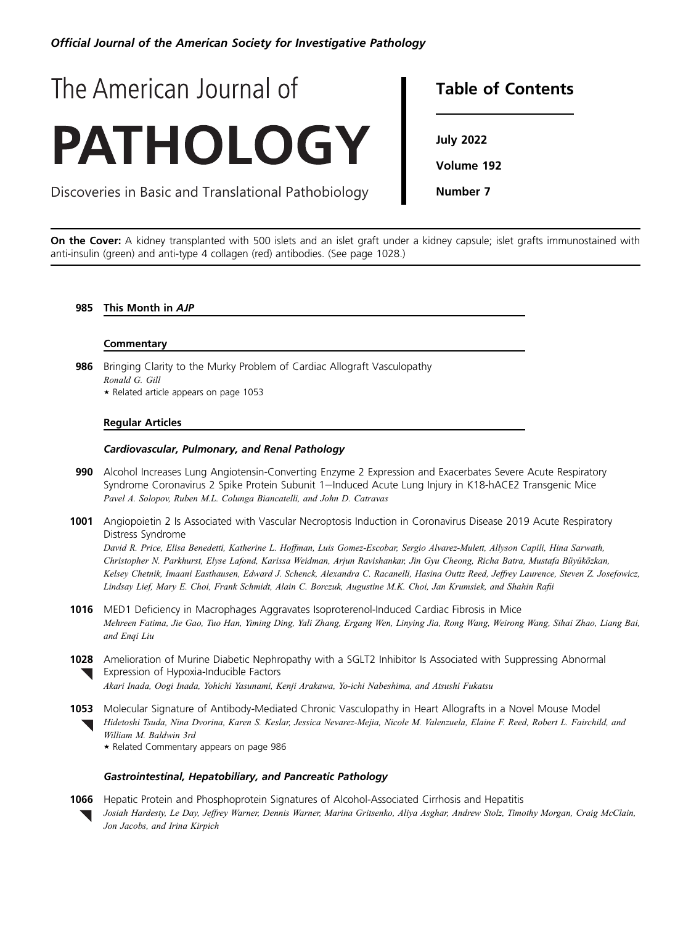Official Journal of the American Society for Investigative Pathology

# The American Journal of **PATHOLOGY**

Discoveries in Basic and Translational Pathobiology

### **Table of Contents** Table of Contents

...*.*<br>...

Number 7

On the Cover: A kidney transplanted with 500 islets and an islet graft under a kidney capsule; islet grafts immunostained with anti-insulin (green) and anti-type 4 collagen (red) antibodies. (See page 1028.)

### 985 This Month in AJP

### **Commentary**

986 Bringing Clarity to the Murky Problem of Cardiac Allograft Vasculopathy Ronald G. Gill + Related article appears on page 1053

## Regular Articles

### Cardiovascular, Pulmonary, and Renal Pathology

- 990 Alcohol Increases Lung Angiotensin-Converting Enzyme 2 Expression and Exacerbates Severe Acute Respiratory Syndrome Coronavirus 2 Spike Protein Subunit 1-Induced Acute Lung Injury in K18-hACE2 Transgenic Mice Pavel A. Solopov, Ruben M.L. Colunga Biancatelli, and John D. Catravas
- 1001 Angiopoietin 2 Is Associated with Vascular Necroptosis Induction in Coronavirus Disease 2019 Acute Respiratory Distress Syndrome

David R. Price, Elisa Benedetti, Katherine L. Hoffman, Luis Gomez-Escobar, Sergio Alvarez-Mulett, Allyson Capili, Hina Sarwath, Christopher N. Parkhurst, Elyse Lafond, Karissa Weidman, Arjun Ravishankar, Jin Gyu Cheong, Richa Batra, Mustafa Büyüközkan, Kelsey Chetnik, Imaani Easthausen, Edward J. Schenck, Alexandra C. Racanelli, Hasina Outtz Reed, Jeffrey Laurence, Steven Z. Josefowicz, Lindsay Lief, Mary E. Choi, Frank Schmidt, Alain C. Borczuk, Augustine M.K. Choi, Jan Krumsiek, and Shahin Rafii

- 1016 MED1 Deficiency in Macrophages Aggravates Isoproterenol-Induced Cardiac Fibrosis in Mice Mehreen Fatima, Jie Gao, Tuo Han, Yiming Ding, Yali Zhang, Ergang Wen, Linying Jia, Rong Wang, Weirong Wang, Sihai Zhao, Liang Bai, and Enqi Liu
- 1028 Amelioration of Murine Diabetic Nephropathy with a SGLT2 Inhibitor Is Associated with Suppressing Abnormal **Expression of Hypoxia-Inducible Factors** Akari Inada, Oogi Inada, Yohichi Yasunami, Kenji Arakawa, Yo-ichi Nabeshima, and Atsushi Fukatsu
- **1053** Molecular Signature of Antibody-Mediated Chronic Vasculopathy in Heart Allografts in a Novel Mouse Model
	- Hidetoshi Tsuda, Nina Dvorina, Karen S. Keslar, Jessica Nevarez-Mejia, Nicole M. Valenzuela, Elaine F. Reed, Robert L. Fairchild, and William M. Baldwin 3rd
		- + Related Commentary appears on page 986

### Gastrointestinal, Hepatobiliary, and Pancreatic Pathology

**1066** Hepatic Protein and Phosphoprotein Signatures of Alcohol-Associated Cirrhosis and Hepatitis Josiah Hardesty, Le Day, Jeffrey Warner, Dennis Warner, Marina Gritsenko, Aliya Asghar, Andrew Stolz, Timothy Morgan, Craig McClain, Jon Jacobs, and Irina Kirpich